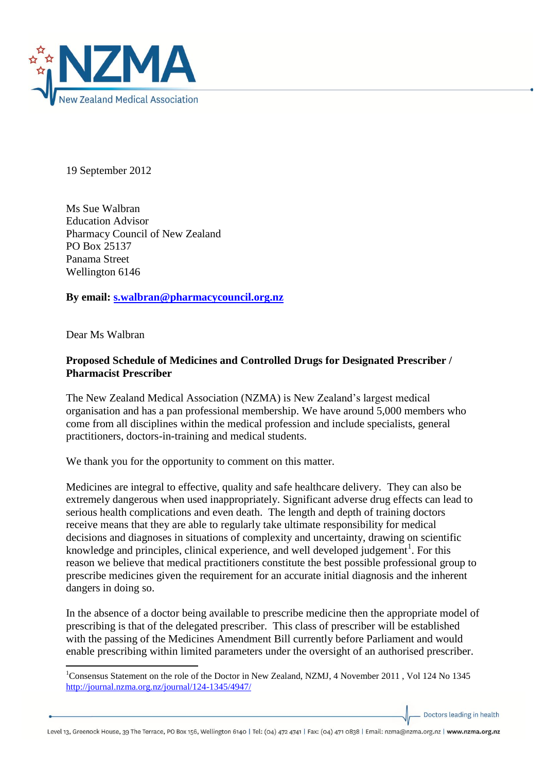

19 September 2012

Ms Sue Walbran Education Advisor Pharmacy Council of New Zealand PO Box 25137 Panama Street Wellington 6146

**By email: [s.walbran@pharmacycouncil.org.nz](mailto:s.walbran@pharmacycouncil.org.nz)**

Dear Ms Walbran

## **Proposed Schedule of Medicines and Controlled Drugs for Designated Prescriber / Pharmacist Prescriber**

The New Zealand Medical Association (NZMA) is New Zealand's largest medical organisation and has a pan professional membership. We have around 5,000 members who come from all disciplines within the medical profession and include specialists, general practitioners, doctors-in-training and medical students.

We thank you for the opportunity to comment on this matter.

Medicines are integral to effective, quality and safe healthcare delivery. They can also be extremely dangerous when used inappropriately. Significant adverse drug effects can lead to serious health complications and even death. The length and depth of training doctors receive means that they are able to regularly take ultimate responsibility for medical decisions and diagnoses in situations of complexity and uncertainty, drawing on scientific knowledge and principles, clinical experience, and well developed judgement<sup>1</sup>. For this reason we believe that medical practitioners constitute the best possible professional group to prescribe medicines given the requirement for an accurate initial diagnosis and the inherent dangers in doing so.

In the absence of a doctor being available to prescribe medicine then the appropriate model of prescribing is that of the delegated prescriber. This class of prescriber will be established with the passing of the Medicines Amendment Bill currently before Parliament and would enable prescribing within limited parameters under the oversight of an authorised prescriber.

Doctors leading in health

**<sup>.</sup>** <sup>1</sup>Consensus Statement on the role of the Doctor in New Zealand, NZMJ, 4 November 2011 , Vol 124 No 1345 <http://journal.nzma.org.nz/journal/124-1345/4947/>